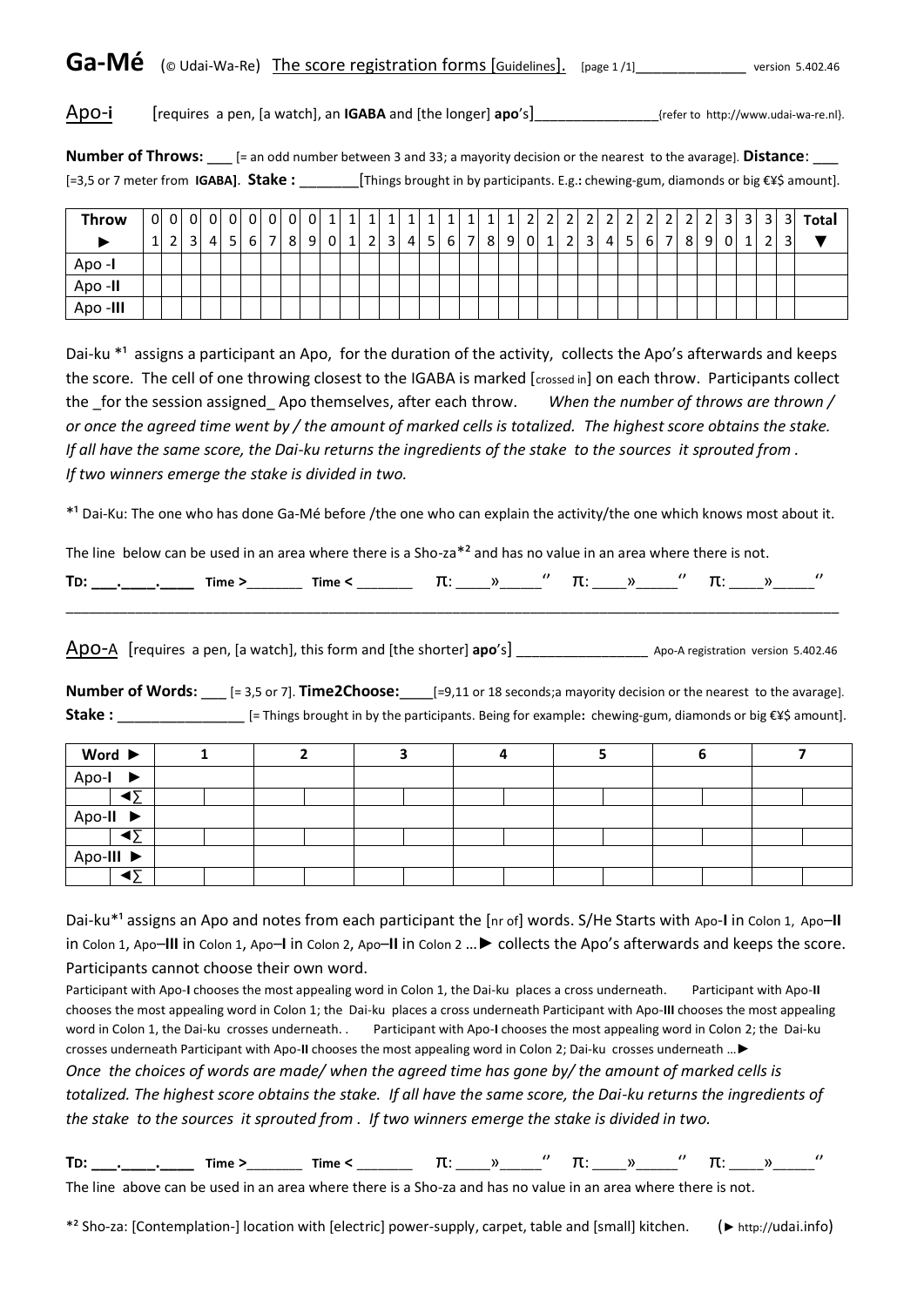Ga-Mé (© Udai-Wa-Re) The score registration forms [Guidelines]. [page 1/1]\_\_\_\_\_\_\_\_\_\_\_\_\_\_\_ version 5.402.46

Apo-**i** [requires a pen, [a watch], an **IGABA** and [the longer] **apo**'s]\_\_\_\_\_\_\_\_\_\_\_\_\_\_\_\_{refer to http://www.udai-wa-re.nl}.

**Number of Throws:**  $[=$  an odd number between 3 and 33; a mayority decision or the nearest to the avarage]. **Distance:** [=3,5 or 7 meter from **IGABA]**. **Stake :** \_\_\_\_\_\_\_[Things brought in by participants. E.g.**:** chewing-gum, diamonds or big €¥\$ amount].

| <b>Throw</b> | $\overline{2}$ | 3 <sup>1</sup> | 0 0 0 0 <br>$\overline{4}$ | $\overline{0}$<br>5 <sup>1</sup> |  | 0 0 0 0 1 1 <br>$6$   7   8   9   0   1 |  | $\mathbf{1}$<br>$\overline{2}$ | $1\vert$<br>$\overline{3}$ | $\mathbf{1}$<br>41 | 1 <sup>1</sup> | 1<br>5 6 7 | 1<br>8 <sup>1</sup> | $\overline{2}$ | $9 \mid 0 \mid 1$ | $\overline{2}$ | 3 <sup>1</sup> | າ<br>$\overline{4}$ | -51 | 6 7 | -8 | 9 | $\overline{3}$<br>$\overline{0}$ | $\overline{3}$ | $\overline{3}$<br>າ | 3 <sup>1</sup><br>21 | Total |
|--------------|----------------|----------------|----------------------------|----------------------------------|--|-----------------------------------------|--|--------------------------------|----------------------------|--------------------|----------------|------------|---------------------|----------------|-------------------|----------------|----------------|---------------------|-----|-----|----|---|----------------------------------|----------------|---------------------|----------------------|-------|
| Apo -I       |                |                |                            |                                  |  |                                         |  |                                |                            |                    |                |            |                     |                |                   |                |                |                     |     |     |    |   |                                  |                |                     |                      |       |
| Apo-II       |                |                |                            |                                  |  |                                         |  |                                |                            |                    |                |            |                     |                |                   |                |                |                     |     |     |    |   |                                  |                |                     |                      |       |
| Apo-III      |                |                |                            |                                  |  |                                         |  |                                |                            |                    |                |            |                     |                |                   |                |                |                     |     |     |    |   |                                  |                |                     |                      |       |

Dai-ku \*1 assigns a participant an Apo, for the duration of the activity, collects the Apo's afterwards and keeps the score. The cell of one throwing closest to the IGABA is marked [crossed in] on each throw. Participants collect the for the session assigned Apo themselves, after each throw. *When the number of throws are thrown / or once the agreed time went by / the amount of marked cells is totalized. The highest score obtains the stake. If all have the same score, the Dai-ku returns the ingredients of the stake to the sources it sprouted from . If two winners emerge the stake is divided in two.* 

\*<sup>1</sup> Dai-Ku: The one who has done Ga-Mé before /the one who can explain the activity/the one which knows most about it.

The line below can be used in an area where there is a Sho-za\*² and has no value in an area where there is not.

| <u>т.</u><br>. . |  |  |  |  |  |  |
|------------------|--|--|--|--|--|--|
|                  |  |  |  |  |  |  |

Apo-A [requires a pen, [a watch], this form and [the shorter] **apo**'s] \_\_\_\_\_\_\_\_\_\_\_\_\_\_\_\_\_ Apo-A registration version 5.402.46

**Number of Words:**  $[= 3.5 \text{ or } 7]$ . **Time2Choose:**  $[= 9.11 \text{ or } 18 \text{ seconds};$ a mayority decision or the nearest to the avarage]. **Stake :** \_\_\_\_\_\_\_\_\_\_\_\_\_\_\_ [= Things brought in by the participants. Being for example**:** chewing-gum, diamonds or big €¥\$ amount].

| Word ▶               |  |  |  |  |
|----------------------|--|--|--|--|
| Apo-I $\rightarrow$  |  |  |  |  |
| ◢↽                   |  |  |  |  |
| $Apo-II$             |  |  |  |  |
| $\blacktriangleleft$ |  |  |  |  |
| Apo-III ▶            |  |  |  |  |
| ◢↸                   |  |  |  |  |

Dai-ku<sup>\*1</sup> assigns an Apo and notes from each participant the [nr of] words. S/He Starts with Apo-I in Colon 1, Apo-II in Colon 1, Apo–**III** in Colon 1, Apo–**I** in Colon 2, Apo–**II** in Colon 2 …► collects the Apo's afterwards and keeps the score. Participants cannot choose their own word.

Participant with Apo-**I** chooses the most appealing word in Colon 1, the Dai-ku places a cross underneath. Participant with Apo-**II** chooses the most appealing word in Colon 1; the Dai-ku places a cross underneath Participant with Apo-**III** chooses the most appealing word in Colon 1, the Dai-ku crosses underneath. . Participant with Apo-**I** chooses the most appealing word in Colon 2; the Dai-ku crosses underneath Participant with Apo-**II** chooses the most appealing word in Colon 2; Dai-ku crosses underneath …► *Once the choices of words are made/ when the agreed time has gone by/ the amount of marked cells is totalized. The highest score obtains the stake. If all have the same score, the Dai-ku returns the ingredients of the stake to the sources it sprouted from . If two winners emerge the stake is divided in two.* 

**TD: \_\_\_.\_\_\_\_.\_\_\_\_ Time >**\_\_\_\_\_\_\_\_ **Time <** \_\_\_\_\_\_\_\_ π: \_\_\_\_\_»\_\_\_\_\_\_'' π: \_\_\_\_\_»\_\_\_\_\_\_'' π: \_\_\_\_\_»\_\_\_\_\_\_''

The line above can be used in an area where there is a Sho-za and has no value in an area where there is not.

\*² Sho-za: [Contemplation-] location with [electric] power-supply, carpet, table and [small] kitchen. (► http://udai.info)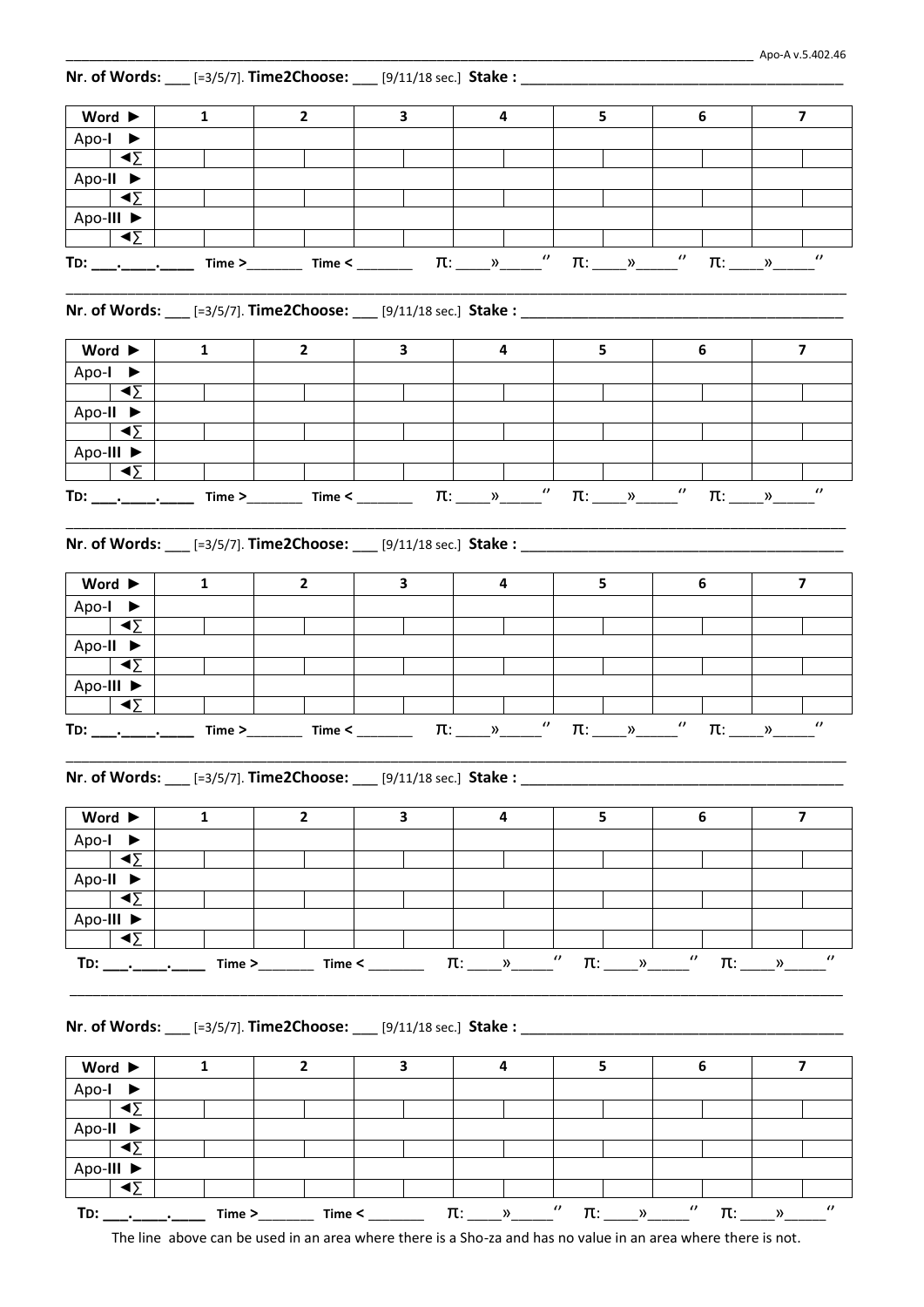| $\overline{2}$<br>$\mathbf{3}$<br>4<br>5<br>6<br>$\overline{7}$<br>Word $\blacktriangleright$<br>$\mathbf{1}$<br>Apo-I $\blacktriangleright$<br>$\blacktriangleleft \Sigma$<br>Apo-II $\blacktriangleright$<br>∢∑<br>Apo-III $\blacktriangleright$<br>≺Σ ►<br>$\boldsymbol{\theta}$<br>Nr. of Words: ___ [=3/5/7]. Time2Choose: ___ [9/11/18 sec.] Stake : _______________________________<br>6<br>$\overline{\mathbf{z}}$<br>Word $\blacktriangleright$<br>$\overline{2}$<br>3<br>4<br>5<br>$\mathbf{1}$<br>Apo-I $\blacktriangleright$<br>◀∑<br>Apo-II $\blacktriangleright$<br>$\blacktriangleleft$<br>Apo-III $\blacktriangleright$<br>$\blacktriangleleft \Sigma$<br>$\boldsymbol{\theta}$<br>$\pi$ : $\infty$ '<br>Word $\blacktriangleright$<br>$\mathbf{2}$<br>$\mathbf{3}$<br>$\overline{\mathbf{4}}$<br>5<br>6<br>$\overline{7}$<br>$\mathbf{1}$<br>Apo-I $\blacktriangleright$<br>$\sim$<br>Apo-II $\blacktriangleright$<br>≺Σ ►<br>Apo-III $\blacktriangleright$<br>- ∢∑<br>$\boldsymbol{\theta}$<br>$\prime\prime$<br>$\pi$ : $\rightarrow$<br>$\pi$ : »<br>Word $\blacktriangleright$<br>$\overline{2}$<br>3<br>$\overline{7}$<br>$\mathbf{1}$<br>4<br>5.<br>6<br>Apo-I $\blacktriangleright$<br>$\blacktriangleleft \Sigma$<br>Apo-II $\blacktriangleright$<br>≺Σ ►<br>Apo-III ▶<br>≺Σ ►<br>$\pi$ : $\longrightarrow$<br>Word $\blacktriangleright$<br>$\overline{7}$<br>$\mathbf{2}$<br>3<br>4<br>5<br>6<br>1<br>Apo-I $\blacktriangleright$<br>- ∢∑<br>Apo-II $\blacktriangleright$<br>$\blacktriangleleft$<br>Apo-III ▶<br>$\vert \blacktriangleleft \Sigma$ | Nr. of Words: ___ [=3/5/7]. Time2Choose: ___ [9/11/18 sec.] Stake : ____________ |  |  |                                  |                       |                               |
|--------------------------------------------------------------------------------------------------------------------------------------------------------------------------------------------------------------------------------------------------------------------------------------------------------------------------------------------------------------------------------------------------------------------------------------------------------------------------------------------------------------------------------------------------------------------------------------------------------------------------------------------------------------------------------------------------------------------------------------------------------------------------------------------------------------------------------------------------------------------------------------------------------------------------------------------------------------------------------------------------------------------------------------------------------------------------------------------------------------------------------------------------------------------------------------------------------------------------------------------------------------------------------------------------------------------------------------------------------------------------------------------------------------------------------------------------------------------------------------------------------------------------------------------------------------------------------|----------------------------------------------------------------------------------|--|--|----------------------------------|-----------------------|-------------------------------|
|                                                                                                                                                                                                                                                                                                                                                                                                                                                                                                                                                                                                                                                                                                                                                                                                                                                                                                                                                                                                                                                                                                                                                                                                                                                                                                                                                                                                                                                                                                                                                                                |                                                                                  |  |  |                                  |                       |                               |
|                                                                                                                                                                                                                                                                                                                                                                                                                                                                                                                                                                                                                                                                                                                                                                                                                                                                                                                                                                                                                                                                                                                                                                                                                                                                                                                                                                                                                                                                                                                                                                                |                                                                                  |  |  |                                  |                       |                               |
|                                                                                                                                                                                                                                                                                                                                                                                                                                                                                                                                                                                                                                                                                                                                                                                                                                                                                                                                                                                                                                                                                                                                                                                                                                                                                                                                                                                                                                                                                                                                                                                |                                                                                  |  |  |                                  |                       |                               |
|                                                                                                                                                                                                                                                                                                                                                                                                                                                                                                                                                                                                                                                                                                                                                                                                                                                                                                                                                                                                                                                                                                                                                                                                                                                                                                                                                                                                                                                                                                                                                                                |                                                                                  |  |  |                                  |                       |                               |
|                                                                                                                                                                                                                                                                                                                                                                                                                                                                                                                                                                                                                                                                                                                                                                                                                                                                                                                                                                                                                                                                                                                                                                                                                                                                                                                                                                                                                                                                                                                                                                                |                                                                                  |  |  |                                  |                       |                               |
|                                                                                                                                                                                                                                                                                                                                                                                                                                                                                                                                                                                                                                                                                                                                                                                                                                                                                                                                                                                                                                                                                                                                                                                                                                                                                                                                                                                                                                                                                                                                                                                |                                                                                  |  |  |                                  |                       |                               |
|                                                                                                                                                                                                                                                                                                                                                                                                                                                                                                                                                                                                                                                                                                                                                                                                                                                                                                                                                                                                                                                                                                                                                                                                                                                                                                                                                                                                                                                                                                                                                                                |                                                                                  |  |  |                                  |                       |                               |
|                                                                                                                                                                                                                                                                                                                                                                                                                                                                                                                                                                                                                                                                                                                                                                                                                                                                                                                                                                                                                                                                                                                                                                                                                                                                                                                                                                                                                                                                                                                                                                                |                                                                                  |  |  |                                  |                       |                               |
| Nr. of Words: ___ [=3/5/7]. Time2Choose: ___ [9/11/18 sec.] Stake : ___________________                                                                                                                                                                                                                                                                                                                                                                                                                                                                                                                                                                                                                                                                                                                                                                                                                                                                                                                                                                                                                                                                                                                                                                                                                                                                                                                                                                                                                                                                                        |                                                                                  |  |  |                                  |                       |                               |
|                                                                                                                                                                                                                                                                                                                                                                                                                                                                                                                                                                                                                                                                                                                                                                                                                                                                                                                                                                                                                                                                                                                                                                                                                                                                                                                                                                                                                                                                                                                                                                                |                                                                                  |  |  |                                  |                       |                               |
|                                                                                                                                                                                                                                                                                                                                                                                                                                                                                                                                                                                                                                                                                                                                                                                                                                                                                                                                                                                                                                                                                                                                                                                                                                                                                                                                                                                                                                                                                                                                                                                |                                                                                  |  |  |                                  |                       |                               |
|                                                                                                                                                                                                                                                                                                                                                                                                                                                                                                                                                                                                                                                                                                                                                                                                                                                                                                                                                                                                                                                                                                                                                                                                                                                                                                                                                                                                                                                                                                                                                                                |                                                                                  |  |  |                                  |                       |                               |
|                                                                                                                                                                                                                                                                                                                                                                                                                                                                                                                                                                                                                                                                                                                                                                                                                                                                                                                                                                                                                                                                                                                                                                                                                                                                                                                                                                                                                                                                                                                                                                                |                                                                                  |  |  |                                  |                       |                               |
|                                                                                                                                                                                                                                                                                                                                                                                                                                                                                                                                                                                                                                                                                                                                                                                                                                                                                                                                                                                                                                                                                                                                                                                                                                                                                                                                                                                                                                                                                                                                                                                |                                                                                  |  |  |                                  |                       |                               |
|                                                                                                                                                                                                                                                                                                                                                                                                                                                                                                                                                                                                                                                                                                                                                                                                                                                                                                                                                                                                                                                                                                                                                                                                                                                                                                                                                                                                                                                                                                                                                                                |                                                                                  |  |  |                                  |                       |                               |
|                                                                                                                                                                                                                                                                                                                                                                                                                                                                                                                                                                                                                                                                                                                                                                                                                                                                                                                                                                                                                                                                                                                                                                                                                                                                                                                                                                                                                                                                                                                                                                                |                                                                                  |  |  |                                  |                       |                               |
|                                                                                                                                                                                                                                                                                                                                                                                                                                                                                                                                                                                                                                                                                                                                                                                                                                                                                                                                                                                                                                                                                                                                                                                                                                                                                                                                                                                                                                                                                                                                                                                |                                                                                  |  |  |                                  |                       |                               |
|                                                                                                                                                                                                                                                                                                                                                                                                                                                                                                                                                                                                                                                                                                                                                                                                                                                                                                                                                                                                                                                                                                                                                                                                                                                                                                                                                                                                                                                                                                                                                                                |                                                                                  |  |  |                                  |                       |                               |
| TD: _________________<br>Nr. of Words: ___ [=3/5/7]. Time2Choose: ___ [9/11/18 sec.] Stake : _____________<br>Nr. of Words: ____ [=3/5/7]. Time2Choose: ____ [9/11/18 sec.] Stake : ______________________________                                                                                                                                                                                                                                                                                                                                                                                                                                                                                                                                                                                                                                                                                                                                                                                                                                                                                                                                                                                                                                                                                                                                                                                                                                                                                                                                                             |                                                                                  |  |  |                                  |                       |                               |
|                                                                                                                                                                                                                                                                                                                                                                                                                                                                                                                                                                                                                                                                                                                                                                                                                                                                                                                                                                                                                                                                                                                                                                                                                                                                                                                                                                                                                                                                                                                                                                                |                                                                                  |  |  |                                  |                       |                               |
|                                                                                                                                                                                                                                                                                                                                                                                                                                                                                                                                                                                                                                                                                                                                                                                                                                                                                                                                                                                                                                                                                                                                                                                                                                                                                                                                                                                                                                                                                                                                                                                |                                                                                  |  |  |                                  |                       |                               |
|                                                                                                                                                                                                                                                                                                                                                                                                                                                                                                                                                                                                                                                                                                                                                                                                                                                                                                                                                                                                                                                                                                                                                                                                                                                                                                                                                                                                                                                                                                                                                                                |                                                                                  |  |  |                                  |                       |                               |
|                                                                                                                                                                                                                                                                                                                                                                                                                                                                                                                                                                                                                                                                                                                                                                                                                                                                                                                                                                                                                                                                                                                                                                                                                                                                                                                                                                                                                                                                                                                                                                                |                                                                                  |  |  |                                  |                       |                               |
|                                                                                                                                                                                                                                                                                                                                                                                                                                                                                                                                                                                                                                                                                                                                                                                                                                                                                                                                                                                                                                                                                                                                                                                                                                                                                                                                                                                                                                                                                                                                                                                |                                                                                  |  |  |                                  |                       |                               |
|                                                                                                                                                                                                                                                                                                                                                                                                                                                                                                                                                                                                                                                                                                                                                                                                                                                                                                                                                                                                                                                                                                                                                                                                                                                                                                                                                                                                                                                                                                                                                                                |                                                                                  |  |  |                                  |                       |                               |
|                                                                                                                                                                                                                                                                                                                                                                                                                                                                                                                                                                                                                                                                                                                                                                                                                                                                                                                                                                                                                                                                                                                                                                                                                                                                                                                                                                                                                                                                                                                                                                                |                                                                                  |  |  |                                  |                       |                               |
|                                                                                                                                                                                                                                                                                                                                                                                                                                                                                                                                                                                                                                                                                                                                                                                                                                                                                                                                                                                                                                                                                                                                                                                                                                                                                                                                                                                                                                                                                                                                                                                |                                                                                  |  |  |                                  |                       |                               |
|                                                                                                                                                                                                                                                                                                                                                                                                                                                                                                                                                                                                                                                                                                                                                                                                                                                                                                                                                                                                                                                                                                                                                                                                                                                                                                                                                                                                                                                                                                                                                                                |                                                                                  |  |  |                                  |                       |                               |
|                                                                                                                                                                                                                                                                                                                                                                                                                                                                                                                                                                                                                                                                                                                                                                                                                                                                                                                                                                                                                                                                                                                                                                                                                                                                                                                                                                                                                                                                                                                                                                                |                                                                                  |  |  |                                  |                       |                               |
|                                                                                                                                                                                                                                                                                                                                                                                                                                                                                                                                                                                                                                                                                                                                                                                                                                                                                                                                                                                                                                                                                                                                                                                                                                                                                                                                                                                                                                                                                                                                                                                |                                                                                  |  |  |                                  |                       |                               |
|                                                                                                                                                                                                                                                                                                                                                                                                                                                                                                                                                                                                                                                                                                                                                                                                                                                                                                                                                                                                                                                                                                                                                                                                                                                                                                                                                                                                                                                                                                                                                                                |                                                                                  |  |  |                                  |                       |                               |
|                                                                                                                                                                                                                                                                                                                                                                                                                                                                                                                                                                                                                                                                                                                                                                                                                                                                                                                                                                                                                                                                                                                                                                                                                                                                                                                                                                                                                                                                                                                                                                                |                                                                                  |  |  |                                  |                       |                               |
|                                                                                                                                                                                                                                                                                                                                                                                                                                                                                                                                                                                                                                                                                                                                                                                                                                                                                                                                                                                                                                                                                                                                                                                                                                                                                                                                                                                                                                                                                                                                                                                |                                                                                  |  |  |                                  |                       |                               |
|                                                                                                                                                                                                                                                                                                                                                                                                                                                                                                                                                                                                                                                                                                                                                                                                                                                                                                                                                                                                                                                                                                                                                                                                                                                                                                                                                                                                                                                                                                                                                                                |                                                                                  |  |  |                                  |                       |                               |
|                                                                                                                                                                                                                                                                                                                                                                                                                                                                                                                                                                                                                                                                                                                                                                                                                                                                                                                                                                                                                                                                                                                                                                                                                                                                                                                                                                                                                                                                                                                                                                                |                                                                                  |  |  |                                  |                       |                               |
|                                                                                                                                                                                                                                                                                                                                                                                                                                                                                                                                                                                                                                                                                                                                                                                                                                                                                                                                                                                                                                                                                                                                                                                                                                                                                                                                                                                                                                                                                                                                                                                |                                                                                  |  |  |                                  |                       |                               |
|                                                                                                                                                                                                                                                                                                                                                                                                                                                                                                                                                                                                                                                                                                                                                                                                                                                                                                                                                                                                                                                                                                                                                                                                                                                                                                                                                                                                                                                                                                                                                                                |                                                                                  |  |  |                                  |                       |                               |
|                                                                                                                                                                                                                                                                                                                                                                                                                                                                                                                                                                                                                                                                                                                                                                                                                                                                                                                                                                                                                                                                                                                                                                                                                                                                                                                                                                                                                                                                                                                                                                                |                                                                                  |  |  |                                  |                       |                               |
|                                                                                                                                                                                                                                                                                                                                                                                                                                                                                                                                                                                                                                                                                                                                                                                                                                                                                                                                                                                                                                                                                                                                                                                                                                                                                                                                                                                                                                                                                                                                                                                |                                                                                  |  |  |                                  |                       |                               |
|                                                                                                                                                                                                                                                                                                                                                                                                                                                                                                                                                                                                                                                                                                                                                                                                                                                                                                                                                                                                                                                                                                                                                                                                                                                                                                                                                                                                                                                                                                                                                                                |                                                                                  |  |  |                                  |                       |                               |
|                                                                                                                                                                                                                                                                                                                                                                                                                                                                                                                                                                                                                                                                                                                                                                                                                                                                                                                                                                                                                                                                                                                                                                                                                                                                                                                                                                                                                                                                                                                                                                                |                                                                                  |  |  |                                  |                       |                               |
|                                                                                                                                                                                                                                                                                                                                                                                                                                                                                                                                                                                                                                                                                                                                                                                                                                                                                                                                                                                                                                                                                                                                                                                                                                                                                                                                                                                                                                                                                                                                                                                |                                                                                  |  |  |                                  |                       |                               |
|                                                                                                                                                                                                                                                                                                                                                                                                                                                                                                                                                                                                                                                                                                                                                                                                                                                                                                                                                                                                                                                                                                                                                                                                                                                                                                                                                                                                                                                                                                                                                                                |                                                                                  |  |  |                                  |                       |                               |
|                                                                                                                                                                                                                                                                                                                                                                                                                                                                                                                                                                                                                                                                                                                                                                                                                                                                                                                                                                                                                                                                                                                                                                                                                                                                                                                                                                                                                                                                                                                                                                                |                                                                                  |  |  |                                  |                       |                               |
| $\lambda$                                                                                                                                                                                                                                                                                                                                                                                                                                                                                                                                                                                                                                                                                                                                                                                                                                                                                                                                                                                                                                                                                                                                                                                                                                                                                                                                                                                                                                                                                                                                                                      |                                                                                  |  |  | $\boldsymbol{\theta}$<br>$\pi$ : | $\boldsymbol{\theta}$ | $\theta$<br>$\pi$ : _____ »__ |

The line above can be used in an area where there is a Sho-za and has no value in an area where there is not.